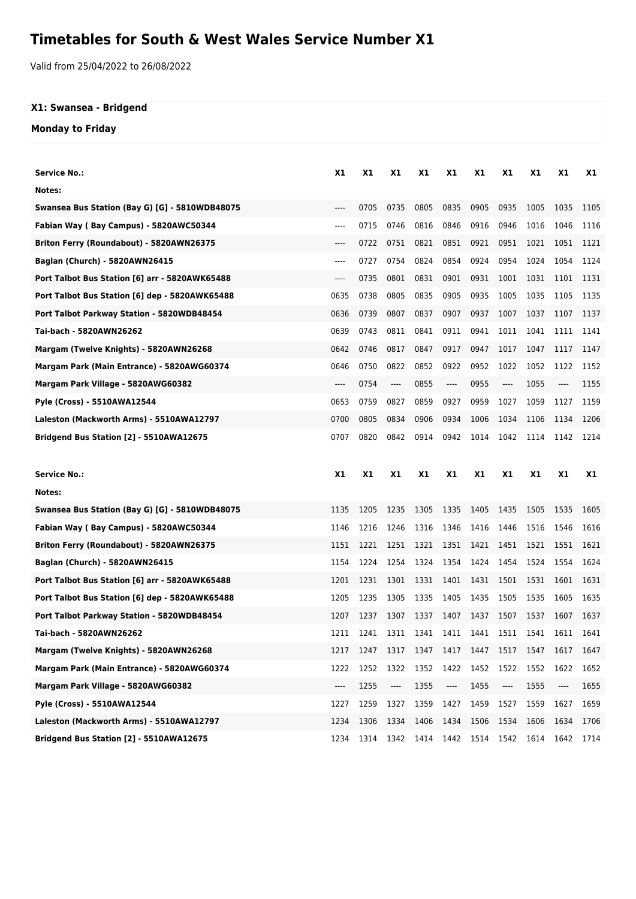## **Timetables for South & West Wales Service Number X1**

Valid from 25/04/2022 to 26/08/2022

## **X1: Swansea - Bridgend**

**Monday to Friday**

| Service No.:                                   | X1        | X1   | X1        | X1        | X1                            | X1             | X1    | X1        | <b>X1</b> | X1   |
|------------------------------------------------|-----------|------|-----------|-----------|-------------------------------|----------------|-------|-----------|-----------|------|
| Notes:                                         |           |      |           |           |                               |                |       |           |           |      |
| Swansea Bus Station (Bay G) [G] - 5810WDB48075 | $---$     | 0705 | 0735      | 0805      | 0835                          | 0905           | 0935  | 1005      | 1035      | 1105 |
| Fabian Way (Bay Campus) - 5820AWC50344         | $---$     | 0715 | 0746      | 0816      | 0846                          | 0916           | 0946  | 1016      | 1046      | 1116 |
| Briton Ferry (Roundabout) - 5820AWN26375       | $---$     | 0722 | 0751      | 0821      | 0851                          | 0921           | 0951  | 1021      | 1051      | 1121 |
| Baglan (Church) - 5820AWN26415                 | $---$     | 0727 | 0754      | 0824      | 0854                          | 0924           | 0954  | 1024      | 1054      | 1124 |
| Port Talbot Bus Station [6] arr - 5820AWK65488 | $---$     | 0735 | 0801      | 0831      | 0901                          | 0931           | 1001  | 1031      | 1101      | 1131 |
| Port Talbot Bus Station [6] dep - 5820AWK65488 | 0635      | 0738 | 0805      | 0835      | 0905                          | 0935           | 1005  | 1035      | 1105      | 1135 |
| Port Talbot Parkway Station - 5820WDB48454     | 0636      | 0739 | 0807      | 0837      | 0907                          | 0937           | 1007  | 1037      | 1107      | 1137 |
| Tai-bach - 5820AWN26262                        | 0639      | 0743 | 0811      | 0841      | 0911                          | 0941           | 1011  | 1041      | 1111      | 1141 |
| Margam (Twelve Knights) - 5820AWN26268         | 0642      | 0746 | 0817      | 0847      | 0917                          | 0947           | 1017  | 1047      | 1117      | 1147 |
| Margam Park (Main Entrance) - 5820AWG60374     | 0646      | 0750 | 0822      | 0852      | 0922                          | 0952           | 1022  | 1052      | 1122      | 1152 |
| Margam Park Village - 5820AWG60382             | $---$     | 0754 | $---$     | 0855      | $---$                         | 0955           | $---$ | 1055      | $---$     | 1155 |
| Pyle (Cross) - 5510AWA12544                    | 0653      | 0759 | 0827      | 0859      | 0927                          | 0959           | 1027  | 1059      | 1127      | 1159 |
| Laleston (Mackworth Arms) - 5510AWA12797       | 0700      | 0805 | 0834      | 0906      | 0934                          | 1006           | 1034  | 1106      | 1134      | 1206 |
| Bridgend Bus Station [2] - 5510AWA12675        | 0707      | 0820 | 0842      | 0914      | 0942                          | 1014           | 1042  | 1114      | 1142      | 1214 |
|                                                |           |      |           |           |                               |                |       |           |           |      |
|                                                |           |      |           |           |                               |                |       |           |           |      |
| <b>Service No.:</b>                            | <b>X1</b> | X1   | <b>X1</b> | <b>X1</b> | X1                            | X1             | X1    | <b>X1</b> | X1        | X1   |
| Notes:                                         |           |      |           |           |                               |                |       |           |           |      |
| Swansea Bus Station (Bay G) [G] - 5810WDB48075 | 1135      | 1205 | 1235      | 1305      | 1335                          | 1405           | 1435  | 1505      | 1535      | 1605 |
| Fabian Way (Bay Campus) - 5820AWC50344         | 1146      | 1216 | 1246      | 1316      | 1346                          | 1416           | 1446  | 1516      | 1546      | 1616 |
| Briton Ferry (Roundabout) - 5820AWN26375       | 1151      | 1221 | 1251      | 1321      | 1351                          | 1421           | 1451  | 1521      | 1551      | 1621 |
| Baglan (Church) - 5820AWN26415                 | 1154      | 1224 | 1254      | 1324      | 1354                          | 1424           | 1454  | 1524      | 1554      | 1624 |
| Port Talbot Bus Station [6] arr - 5820AWK65488 | 1201      | 1231 | 1301      | 1331      | 1401                          | 1431           | 1501  | 1531      | 1601      | 1631 |
| Port Talbot Bus Station [6] dep - 5820AWK65488 | 1205      | 1235 | 1305      | 1335      | 1405                          | 1435           | 1505  | 1535      | 1605      | 1635 |
| Port Talbot Parkway Station - 5820WDB48454     | 1207      | 1237 | 1307      | 1337      | 1407                          | 1437           | 1507  | 1537      | 1607      | 1637 |
| Tai-bach - 5820AWN26262                        | 1211      | 1241 | 1311      | 1341      |                               | 1411 1441 1511 |       | 1541      | 1611      | 1641 |
| Margam (Twelve Knights) - 5820AWN26268         | 1217      | 1247 | 1317      | 1347      | 1417 1447                     |                | 1517  | 1547      | 1617      | 1647 |
| Margam Park (Main Entrance) - 5820AWG60374     | 1222      | 1252 | 1322      | 1352      | 1422                          | 1452           | 1522  | 1552      | 1622      | 1652 |
| Margam Park Village - 5820AWG60382             | ----      | 1255 | ----      | 1355      | $\hspace{1.5cm} \textbf{---}$ | 1455           | ----  | 1555      | ----      | 1655 |
| Pyle (Cross) - 5510AWA12544                    | 1227      | 1259 | 1327      | 1359      | 1427                          | 1459           | 1527  | 1559      | 1627      | 1659 |
| Laleston (Mackworth Arms) - 5510AWA12797       | 1234      | 1306 | 1334      | 1406      | 1434                          | 1506           | 1534  | 1606      | 1634      | 1706 |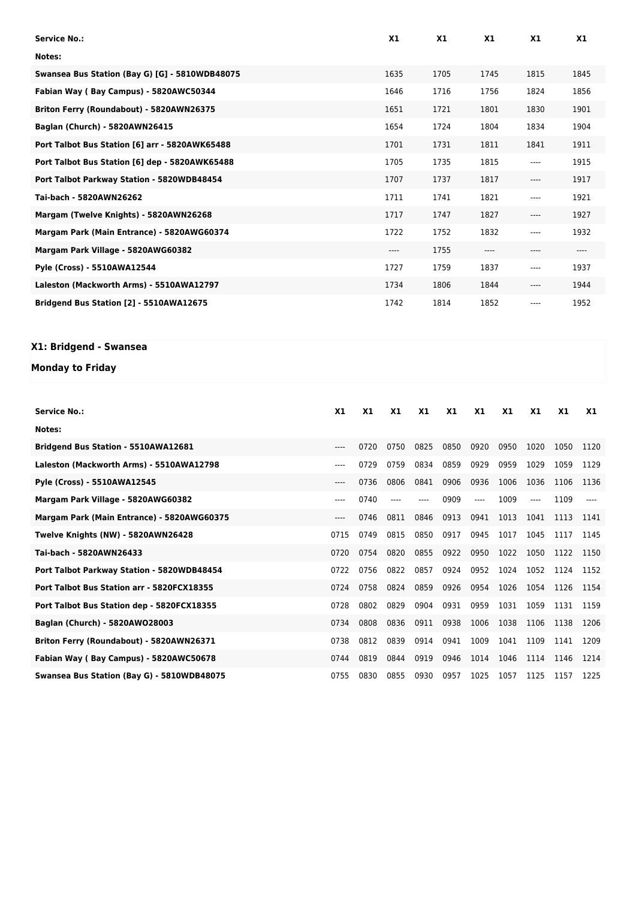| <b>Service No.:</b>                            | X1   | X1   | X1    | X1       | X <sub>1</sub> |
|------------------------------------------------|------|------|-------|----------|----------------|
| Notes:                                         |      |      |       |          |                |
| Swansea Bus Station (Bay G) [G] - 5810WDB48075 | 1635 | 1705 | 1745  | 1815     | 1845           |
| Fabian Way (Bay Campus) - 5820AWC50344         | 1646 | 1716 | 1756  | 1824     | 1856           |
| Briton Ferry (Roundabout) - 5820AWN26375       | 1651 | 1721 | 1801  | 1830     | 1901           |
| Baglan (Church) - 5820AWN26415                 | 1654 | 1724 | 1804  | 1834     | 1904           |
| Port Talbot Bus Station [6] arr - 5820AWK65488 | 1701 | 1731 | 1811  | 1841     | 1911           |
| Port Talbot Bus Station [6] dep - 5820AWK65488 | 1705 | 1735 | 1815  | $\cdots$ | 1915           |
| Port Talbot Parkway Station - 5820WDB48454     | 1707 | 1737 | 1817  | $---$    | 1917           |
| Tai-bach - 5820AWN26262                        | 1711 | 1741 | 1821  | $---$    | 1921           |
| Margam (Twelve Knights) - 5820AWN26268         | 1717 | 1747 | 1827  | ----     | 1927           |
| Margam Park (Main Entrance) - 5820AWG60374     | 1722 | 1752 | 1832  | $---$    | 1932           |
| Margam Park Village - 5820AWG60382             | ---- | 1755 | $---$ | ----     | ----           |
| Pyle (Cross) - 5510AWA12544                    | 1727 | 1759 | 1837  | ----     | 1937           |
| Laleston (Mackworth Arms) - 5510AWA12797       | 1734 | 1806 | 1844  | $---$    | 1944           |
| Bridgend Bus Station [2] - 5510AWA12675        | 1742 | 1814 | 1852  | ----     | 1952           |

## **X1: Bridgend - Swansea**

## **Monday to Friday**

| Service No.:                               | X1   | X1   | X1   | X1   | X1   | X1   | X1   | X1    | <b>X1</b> | X1   |
|--------------------------------------------|------|------|------|------|------|------|------|-------|-----------|------|
| Notes:                                     |      |      |      |      |      |      |      |       |           |      |
| <b>Bridgend Bus Station - 5510AWA12681</b> | ---- | 0720 | 0750 | 0825 | 0850 | 0920 | 0950 | 1020  | 1050      | 1120 |
| Laleston (Mackworth Arms) - 5510AWA12798   | ---- | 0729 | 0759 | 0834 | 0859 | 0929 | 0959 | 1029  | 1059      | 1129 |
| Pyle (Cross) - 5510AWA12545                | ---- | 0736 | 0806 | 0841 | 0906 | 0936 | 1006 | 1036  | 1106      | 1136 |
| Margam Park Village - 5820AWG60382         | ---- | 0740 | ---- | ---- | 0909 | ---- | 1009 | $---$ | 1109      |      |
| Margam Park (Main Entrance) - 5820AWG60375 | ---- | 0746 | 0811 | 0846 | 0913 | 0941 | 1013 | 1041  | 1113      | 1141 |
| Twelve Knights (NW) - 5820AWN26428         | 0715 | 0749 | 0815 | 0850 | 0917 | 0945 | 1017 | 1045  | 1117      | 1145 |
| Tai-bach - 5820AWN26433                    | 0720 | 0754 | 0820 | 0855 | 0922 | 0950 | 1022 | 1050  | 1122      | 1150 |
| Port Talbot Parkway Station - 5820WDB48454 | 0722 | 0756 | 0822 | 0857 | 0924 | 0952 | 1024 | 1052  | 1124      | 1152 |
| Port Talbot Bus Station arr - 5820FCX18355 | 0724 | 0758 | 0824 | 0859 | 0926 | 0954 | 1026 | 1054  | 1126      | 1154 |
| Port Talbot Bus Station dep - 5820FCX18355 | 0728 | 0802 | 0829 | 0904 | 0931 | 0959 | 1031 | 1059  | 1131      | 1159 |
| Baglan (Church) - 5820AW028003             | 0734 | 0808 | 0836 | 0911 | 0938 | 1006 | 1038 | 1106  | 1138      | 1206 |
| Briton Ferry (Roundabout) - 5820AWN26371   | 0738 | 0812 | 0839 | 0914 | 0941 | 1009 | 1041 | 1109  | 1141      | 1209 |
| Fabian Way (Bay Campus) - 5820AWC50678     | 0744 | 0819 | 0844 | 0919 | 0946 | 1014 | 1046 | 1114  | 1146      | 1214 |
| Swansea Bus Station (Bay G) - 5810WDB48075 | 0755 | 0830 | 0855 | 0930 | 0957 | 1025 | 1057 | 1125  | 1157      | 1225 |